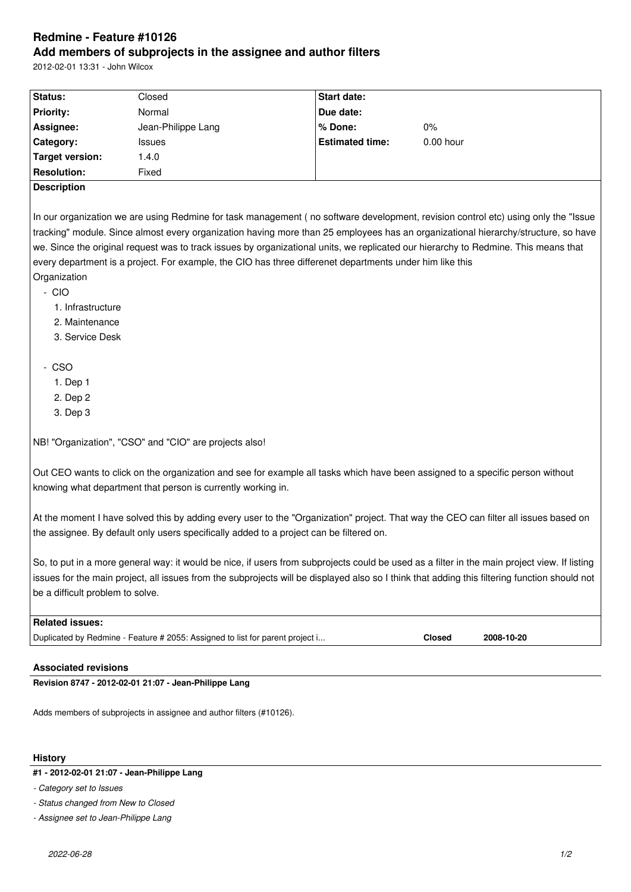# **Redmine - Feature #10126 Add members of subprojects in the assignee and author filters**

2012-02-01 13:31 - John Wilcox

| Status:            | Closed             | <b>Start date:</b>     |             |  |
|--------------------|--------------------|------------------------|-------------|--|
| <b>Priority:</b>   | Normal             | Due date:              |             |  |
| Assignee:          | Jean-Philippe Lang | % Done:                | $0\%$       |  |
| Category:          | <b>Issues</b>      | <b>Estimated time:</b> | $0.00$ hour |  |
| Target version:    | .4.0               |                        |             |  |
| <b>Resolution:</b> | Fixed              |                        |             |  |
| ____               |                    |                        |             |  |

## **Description**

In our organization we are using Redmine for task management ( no software development, revision control etc) using only the "Issue tracking" module. Since almost every organization having more than 25 employees has an organizational hierarchy/structure, so have we. Since the original request was to track issues by organizational units, we replicated our hierarchy to Redmine. This means that every department is a project. For example, the CIO has three differenet departments under him like this **Organization** 

- CIO
	- 1. Infrastructure
	- 2. Maintenance
	- 3. Service Desk
- CSO
	- 1. Dep 1
	- 2. Dep 2
	- 3. Dep 3

NB! "Organization", "CSO" and "CIO" are projects also!

Out CEO wants to click on the organization and see for example all tasks which have been assigned to a specific person without knowing what department that person is currently working in.

At the moment I have solved this by adding every user to the "Organization" project. That way the CEO can filter all issues based on the assignee. By default only users specifically added to a project can be filtered on.

So, to put in a more general way: it would be nice, if users from subprojects could be used as a filter in the main project view. If listing issues for the main project, all issues from the subprojects will be displayed also so I think that adding this filtering function should not be a difficult problem to solve.

# **Related issues:**

Duplicated by Redmine - Feature # 2055: Assigned to list for parent project i... **Closed 2008-10-20**

# **Associated revisions**

**Revision 8747 - 2012-02-01 21:07 - Jean-Philippe Lang**

Adds members of subprojects in assignee and author filters (#10126).

#### **History**

**#1 - 2012-02-01 21:07 - Jean-Philippe Lang**

*- Category set to Issues*

*- Status changed from New to Closed*

*- Assignee set to Jean-Philippe Lang*